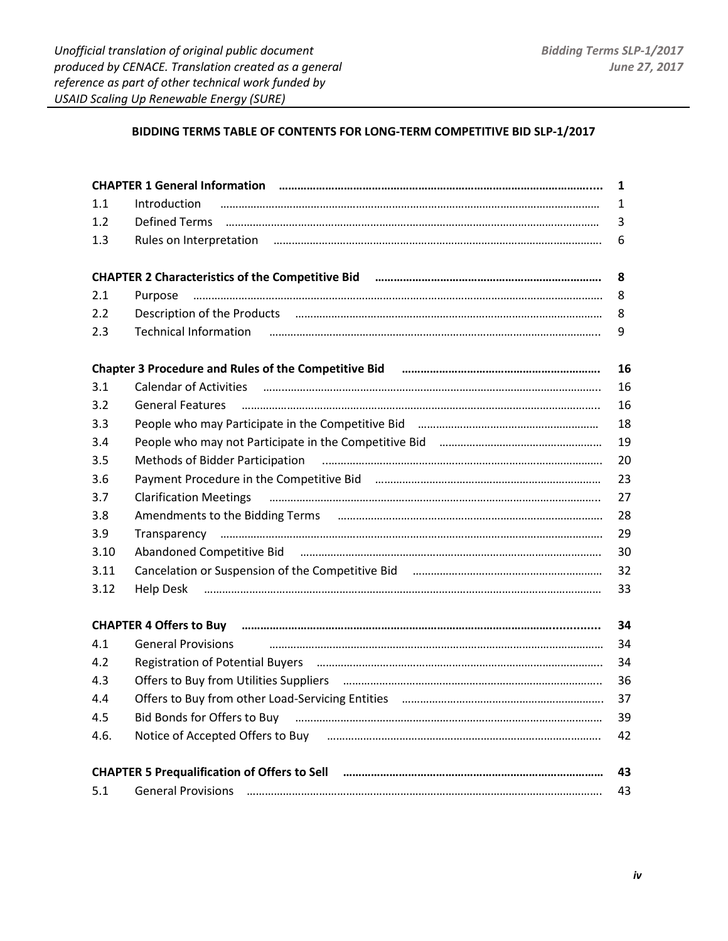## **BIDDING TERMS TABLE OF CONTENTS FOR LONG-TERM COMPETITIVE BID SLP-1/2017**

| CHAPTER 1 General Information (1000) (1000) (1000) (1000) (1000) (1000) (1000) (1000) (1000) (1000) (1000) (10<br>$\mathbf{1}$ |                                                                                                                                                                                                                                                         |    |
|--------------------------------------------------------------------------------------------------------------------------------|---------------------------------------------------------------------------------------------------------------------------------------------------------------------------------------------------------------------------------------------------------|----|
| 1.1                                                                                                                            | Introduction                                                                                                                                                                                                                                            | 1  |
| 1.2                                                                                                                            |                                                                                                                                                                                                                                                         | 3  |
| 1.3                                                                                                                            |                                                                                                                                                                                                                                                         | 6  |
|                                                                                                                                | CHAPTER 2 Characteristics of the Competitive Bid Farman Communication CHAPTER 2 Characteristics of the Competitive Bid Farman Changeman Characteristics                                                                                                 | 8  |
| 2.1                                                                                                                            | Purpose                                                                                                                                                                                                                                                 | 8  |
| 2.2                                                                                                                            | Description of the Products <b>manually constructed</b> and the Products <b>manually constructed</b> and the Products <b>manually constructed</b> and the Products <b>manually constructed</b> and the Products <b>manually constructed</b> and the Pro | 8  |
| 2.3                                                                                                                            | Technical Information <i>manual merrimum manual merrimum manual merrimum manual</i>                                                                                                                                                                     | 9  |
|                                                                                                                                | Chapter 3 Procedure and Rules of the Competitive Bid Farman Communication Chapter 3 Procedure and Rules of the Competitive Bid Farman Communication Chapter                                                                                             | 16 |
| 3.1                                                                                                                            |                                                                                                                                                                                                                                                         | 16 |
| 3.2                                                                                                                            |                                                                                                                                                                                                                                                         | 16 |
| 3.3                                                                                                                            |                                                                                                                                                                                                                                                         | 18 |
| 3.4                                                                                                                            |                                                                                                                                                                                                                                                         | 19 |
| 3.5                                                                                                                            | Methods of Bidder Participation (1000) (1000) (1000) (1000) (1000) (1000) (1000) (1000) (1000) (1000) (1000) (                                                                                                                                          | 20 |
| 3.6                                                                                                                            |                                                                                                                                                                                                                                                         | 23 |
| 3.7                                                                                                                            | <b>Clarification Meetings</b>                                                                                                                                                                                                                           | 27 |
| 3.8                                                                                                                            |                                                                                                                                                                                                                                                         | 28 |
| 3.9                                                                                                                            |                                                                                                                                                                                                                                                         | 29 |
| 3.10                                                                                                                           | Abandoned Competitive Bid manufacture and competitive Bid manufacture and competitive Bid manufacture and competitive Bid                                                                                                                               | 30 |
| 3.11                                                                                                                           |                                                                                                                                                                                                                                                         | 32 |
| 3.12                                                                                                                           |                                                                                                                                                                                                                                                         | 33 |
|                                                                                                                                | CHAPTER 4 Offers to Buy <b>manual contract and contract and contract and contract and contract and contract and c</b>                                                                                                                                   | 34 |
| 4.1                                                                                                                            |                                                                                                                                                                                                                                                         | 34 |
| 4.2                                                                                                                            |                                                                                                                                                                                                                                                         | 34 |
| 4.3                                                                                                                            |                                                                                                                                                                                                                                                         | 36 |
| 4.4                                                                                                                            |                                                                                                                                                                                                                                                         | 37 |
| 4.5                                                                                                                            | Bid Bonds for Offers to Buy <i>manual manual manual manual manual manual manual manual</i>                                                                                                                                                              | 39 |
| 4.6.                                                                                                                           |                                                                                                                                                                                                                                                         | 42 |
| 43                                                                                                                             |                                                                                                                                                                                                                                                         |    |
| 5.1                                                                                                                            | <b>General Provisions</b>                                                                                                                                                                                                                               | 43 |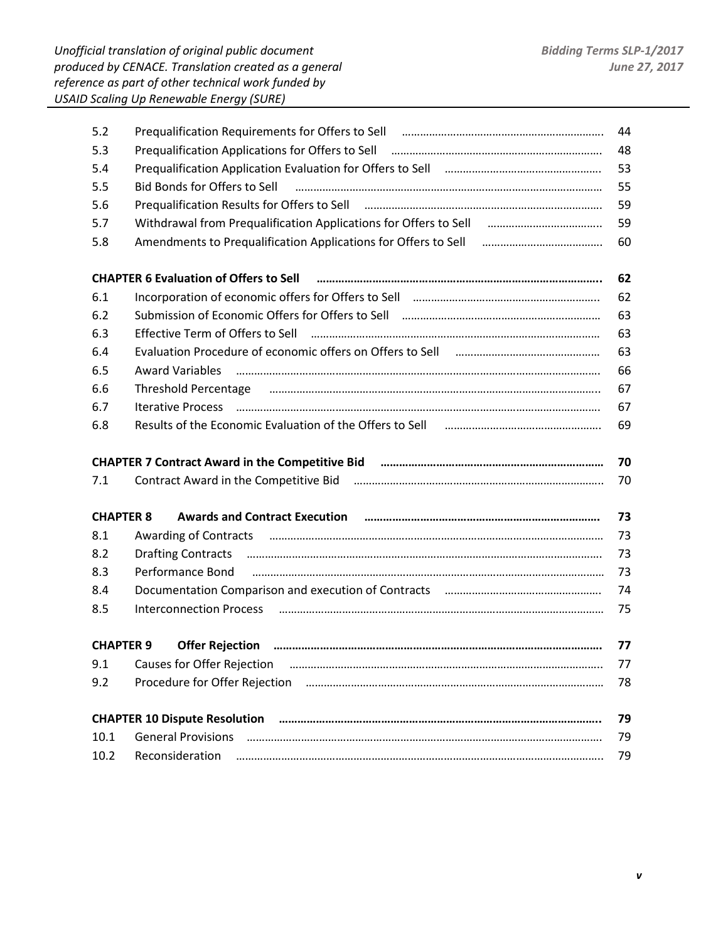| 5.2              | Prequalification Requirements for Offers to Sell Faction Communication and Communication Centers                                                                                                                               | 44 |
|------------------|--------------------------------------------------------------------------------------------------------------------------------------------------------------------------------------------------------------------------------|----|
| 5.3              | Prequalification Applications for Offers to Sell Fall All Communications and the Prequalification Applications for Offers to Sell Fall All All Communications and Prequality Prequality Prequality Prequality Prequality Prequ | 48 |
| 5.4              | Prequalification Application Evaluation for Offers to Sell [100] [100] [100] Prequalification Application Evaluation for Offers to Sell                                                                                        | 53 |
| 5.5              | Bid Bonds for Offers to Sell Farming Communication and the communication and the Bonds for Offers to Sell                                                                                                                      | 55 |
| 5.6              |                                                                                                                                                                                                                                | 59 |
| 5.7              |                                                                                                                                                                                                                                | 59 |
| 5.8              |                                                                                                                                                                                                                                | 60 |
|                  | <b>CHAPTER 6 Evaluation of Offers to Sell</b>                                                                                                                                                                                  | 62 |
| 6.1              |                                                                                                                                                                                                                                | 62 |
| 6.2              |                                                                                                                                                                                                                                | 63 |
| 6.3              | Effective Term of Offers to Sell                                                                                                                                                                                               | 63 |
| 6.4              | Evaluation Procedure of economic offers on Offers to Sell Fall Communication Contains and Evaluation Procedure                                                                                                                 | 63 |
| 6.5              | <b>Award Variables</b>                                                                                                                                                                                                         | 66 |
| 6.6              |                                                                                                                                                                                                                                | 67 |
| 6.7              |                                                                                                                                                                                                                                | 67 |
| 6.8              | Results of the Economic Evaluation of the Offers to Sell Facebook Contains and The Economic Evaluation of the Offers to Sell Facebook Contains and The Economic Evaluation of the Offers L                                     | 69 |
|                  |                                                                                                                                                                                                                                |    |
|                  |                                                                                                                                                                                                                                | 70 |
| 7.1              |                                                                                                                                                                                                                                | 70 |
| <b>CHAPTER 8</b> | Awards and Contract Execution <b>manually contract to the Contract Execution manually contract to the Contract Execution</b>                                                                                                   | 73 |
| 8.1              | Awarding of Contracts <b>must be a contracted</b> and contract and continuum contracts and contracts and contracts and                                                                                                         | 73 |
| 8.2              | <b>Drafting Contracts</b>                                                                                                                                                                                                      | 73 |
| 8.3              | Performance Bond                                                                                                                                                                                                               | 73 |
| 8.4              |                                                                                                                                                                                                                                | 74 |
| 8.5              | <b>Interconnection Process</b>                                                                                                                                                                                                 | 75 |
| <b>CHAPTER 9</b> |                                                                                                                                                                                                                                | 77 |
| 9.1              |                                                                                                                                                                                                                                | 77 |
| 9.2              | Procedure for Offer Rejection (2008) (2008) (2008) (2018) (2018) (2018) (2018) (2018) (2018) (2018) (2018) (20                                                                                                                 | 78 |
|                  | <b>CHAPTER 10 Dispute Resolution</b>                                                                                                                                                                                           | 79 |
| 10.1             |                                                                                                                                                                                                                                | 79 |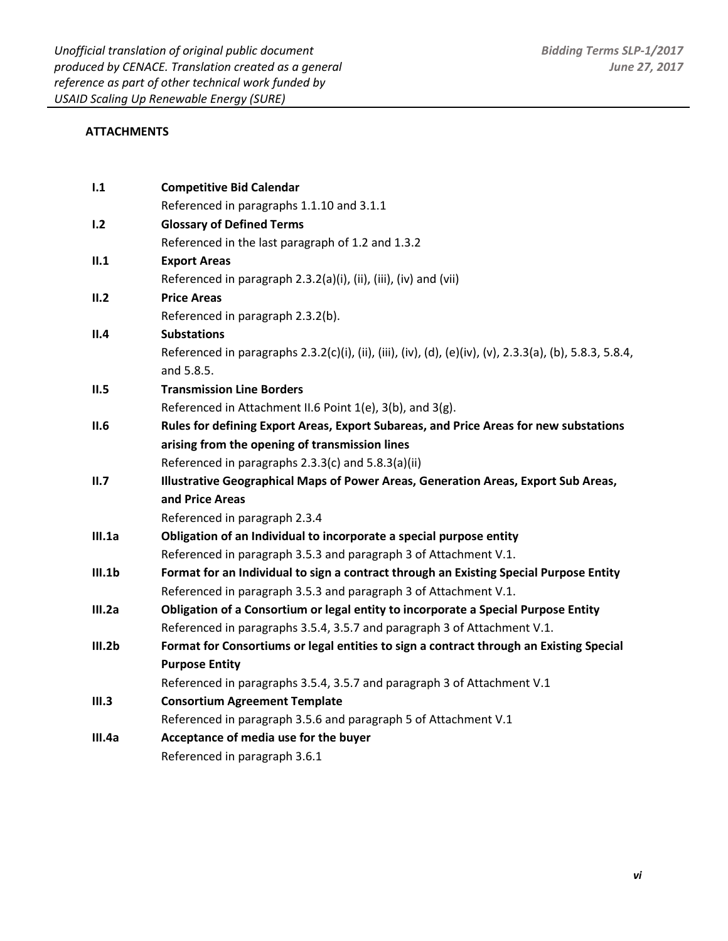## **ATTACHMENTS**

| 1.1    | <b>Competitive Bid Calendar</b>                                                                          |
|--------|----------------------------------------------------------------------------------------------------------|
|        | Referenced in paragraphs 1.1.10 and 3.1.1                                                                |
| 1.2    | <b>Glossary of Defined Terms</b>                                                                         |
|        | Referenced in the last paragraph of 1.2 and 1.3.2                                                        |
| II.1   | <b>Export Areas</b>                                                                                      |
|        | Referenced in paragraph 2.3.2(a)(i), (ii), (iii), (iv) and (vii)                                         |
| II.2   | <b>Price Areas</b>                                                                                       |
|        | Referenced in paragraph 2.3.2(b).                                                                        |
| II.4   | <b>Substations</b>                                                                                       |
|        | Referenced in paragraphs 2.3.2(c)(i), (ii), (iii), (iv), (d), (e)(iv), (v), 2.3.3(a), (b), 5.8.3, 5.8.4, |
|        | and 5.8.5.                                                                                               |
| II.5   | <b>Transmission Line Borders</b>                                                                         |
|        | Referenced in Attachment II.6 Point 1(e), 3(b), and 3(g).                                                |
| II.6   | Rules for defining Export Areas, Export Subareas, and Price Areas for new substations                    |
|        | arising from the opening of transmission lines                                                           |
|        | Referenced in paragraphs 2.3.3(c) and 5.8.3(a)(ii)                                                       |
|        |                                                                                                          |
| II.7   | Illustrative Geographical Maps of Power Areas, Generation Areas, Export Sub Areas,                       |
|        | and Price Areas                                                                                          |
|        | Referenced in paragraph 2.3.4                                                                            |
| III.1a | Obligation of an Individual to incorporate a special purpose entity                                      |
|        | Referenced in paragraph 3.5.3 and paragraph 3 of Attachment V.1.                                         |
| III.1b | Format for an Individual to sign a contract through an Existing Special Purpose Entity                   |
|        | Referenced in paragraph 3.5.3 and paragraph 3 of Attachment V.1.                                         |
| III.2a | Obligation of a Consortium or legal entity to incorporate a Special Purpose Entity                       |
|        | Referenced in paragraphs 3.5.4, 3.5.7 and paragraph 3 of Attachment V.1.                                 |
| III.2b | Format for Consortiums or legal entities to sign a contract through an Existing Special                  |
|        | <b>Purpose Entity</b>                                                                                    |
|        | Referenced in paragraphs 3.5.4, 3.5.7 and paragraph 3 of Attachment V.1                                  |
| III.3  | <b>Consortium Agreement Template</b>                                                                     |
|        | Referenced in paragraph 3.5.6 and paragraph 5 of Attachment V.1                                          |
| III.4a | Acceptance of media use for the buyer<br>Referenced in paragraph 3.6.1                                   |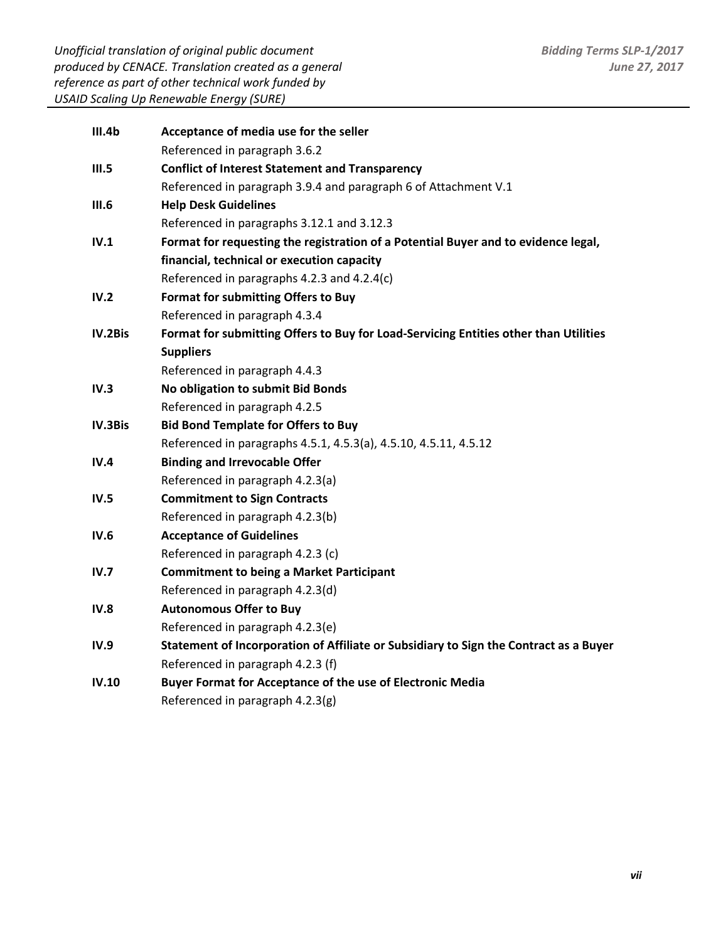*Unofficial translation of original public document produced by CENACE. Translation created as a general reference as part of other technical work funded by USAID Scaling Up Renewable Energy (SURE)* 

| III.4b         | Acceptance of media use for the seller                                                |
|----------------|---------------------------------------------------------------------------------------|
|                | Referenced in paragraph 3.6.2                                                         |
| III.5          | <b>Conflict of Interest Statement and Transparency</b>                                |
|                | Referenced in paragraph 3.9.4 and paragraph 6 of Attachment V.1                       |
| III.6          | <b>Help Desk Guidelines</b>                                                           |
|                | Referenced in paragraphs 3.12.1 and 3.12.3                                            |
| IV.1           | Format for requesting the registration of a Potential Buyer and to evidence legal,    |
|                | financial, technical or execution capacity                                            |
|                | Referenced in paragraphs 4.2.3 and 4.2.4(c)                                           |
| IV.2           | Format for submitting Offers to Buy                                                   |
|                | Referenced in paragraph 4.3.4                                                         |
| IV.2Bis        | Format for submitting Offers to Buy for Load-Servicing Entities other than Utilities  |
|                | <b>Suppliers</b>                                                                      |
|                | Referenced in paragraph 4.4.3                                                         |
| IV.3           | No obligation to submit Bid Bonds                                                     |
|                | Referenced in paragraph 4.2.5                                                         |
| <b>IV.3Bis</b> | <b>Bid Bond Template for Offers to Buy</b>                                            |
|                | Referenced in paragraphs 4.5.1, 4.5.3(a), 4.5.10, 4.5.11, 4.5.12                      |
| IV.4           | <b>Binding and Irrevocable Offer</b>                                                  |
|                | Referenced in paragraph 4.2.3(a)                                                      |
| IV.5           | <b>Commitment to Sign Contracts</b>                                                   |
|                | Referenced in paragraph 4.2.3(b)                                                      |
| IV.6           | <b>Acceptance of Guidelines</b>                                                       |
|                | Referenced in paragraph 4.2.3 (c)                                                     |
| IV.7           | <b>Commitment to being a Market Participant</b>                                       |
|                | Referenced in paragraph 4.2.3(d)                                                      |
| IV.8           | <b>Autonomous Offer to Buy</b>                                                        |
|                | Referenced in paragraph 4.2.3(e)                                                      |
| IV.9           | Statement of Incorporation of Affiliate or Subsidiary to Sign the Contract as a Buyer |
|                | Referenced in paragraph 4.2.3 (f)                                                     |
| IV.10          | Buyer Format for Acceptance of the use of Electronic Media                            |
|                | Referenced in paragraph 4.2.3(g)                                                      |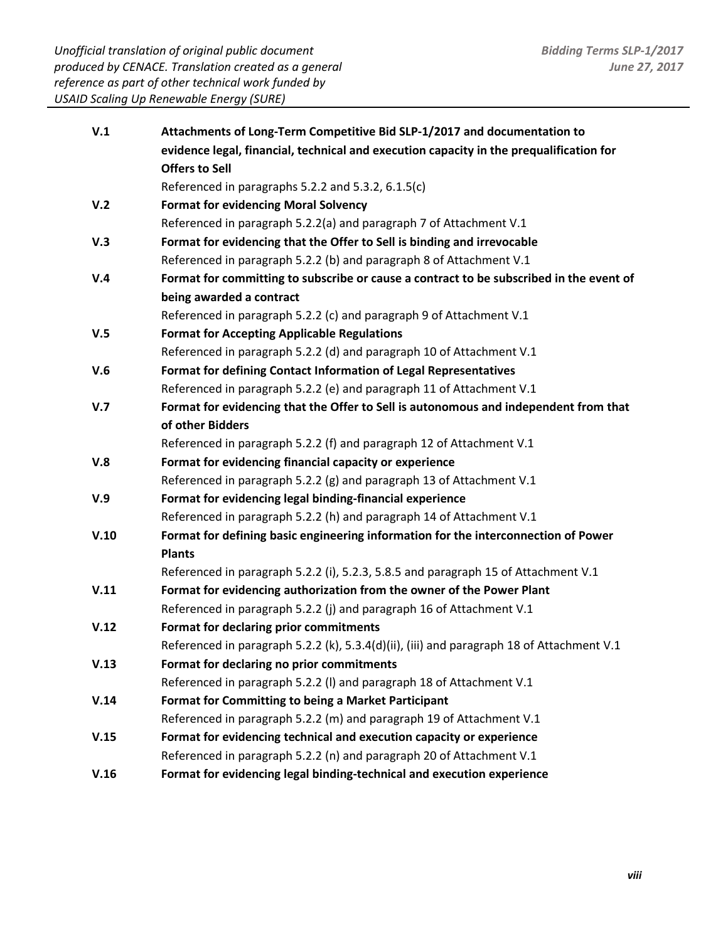| V.1  | Attachments of Long-Term Competitive Bid SLP-1/2017 and documentation to                  |
|------|-------------------------------------------------------------------------------------------|
|      | evidence legal, financial, technical and execution capacity in the prequalification for   |
|      | <b>Offers to Sell</b>                                                                     |
|      | Referenced in paragraphs 5.2.2 and 5.3.2, 6.1.5(c)                                        |
| V.2  | <b>Format for evidencing Moral Solvency</b>                                               |
|      | Referenced in paragraph 5.2.2(a) and paragraph 7 of Attachment V.1                        |
| V.3  | Format for evidencing that the Offer to Sell is binding and irrevocable                   |
|      | Referenced in paragraph 5.2.2 (b) and paragraph 8 of Attachment V.1                       |
| V.4  | Format for committing to subscribe or cause a contract to be subscribed in the event of   |
|      | being awarded a contract                                                                  |
|      | Referenced in paragraph 5.2.2 (c) and paragraph 9 of Attachment V.1                       |
| V.5  | <b>Format for Accepting Applicable Regulations</b>                                        |
|      | Referenced in paragraph 5.2.2 (d) and paragraph 10 of Attachment V.1                      |
| V.6  | Format for defining Contact Information of Legal Representatives                          |
|      | Referenced in paragraph 5.2.2 (e) and paragraph 11 of Attachment V.1                      |
| V.7  | Format for evidencing that the Offer to Sell is autonomous and independent from that      |
|      | of other Bidders                                                                          |
|      | Referenced in paragraph 5.2.2 (f) and paragraph 12 of Attachment V.1                      |
| V.8  | Format for evidencing financial capacity or experience                                    |
|      | Referenced in paragraph 5.2.2 (g) and paragraph 13 of Attachment V.1                      |
| V.9  | Format for evidencing legal binding-financial experience                                  |
|      | Referenced in paragraph 5.2.2 (h) and paragraph 14 of Attachment V.1                      |
| V.10 | Format for defining basic engineering information for the interconnection of Power        |
|      | <b>Plants</b>                                                                             |
|      | Referenced in paragraph 5.2.2 (i), 5.2.3, 5.8.5 and paragraph 15 of Attachment V.1        |
| V.11 | Format for evidencing authorization from the owner of the Power Plant                     |
|      | Referenced in paragraph 5.2.2 (j) and paragraph 16 of Attachment V.1                      |
| V.12 | Format for declaring prior commitments                                                    |
|      | Referenced in paragraph 5.2.2 (k), 5.3.4(d)(ii), (iii) and paragraph 18 of Attachment V.1 |
| V.13 | Format for declaring no prior commitments                                                 |
|      | Referenced in paragraph 5.2.2 (I) and paragraph 18 of Attachment V.1                      |
| V.14 | <b>Format for Committing to being a Market Participant</b>                                |
|      | Referenced in paragraph 5.2.2 (m) and paragraph 19 of Attachment V.1                      |
| V.15 | Format for evidencing technical and execution capacity or experience                      |
|      | Referenced in paragraph 5.2.2 (n) and paragraph 20 of Attachment V.1                      |
| V.16 | Format for evidencing legal binding-technical and execution experience                    |